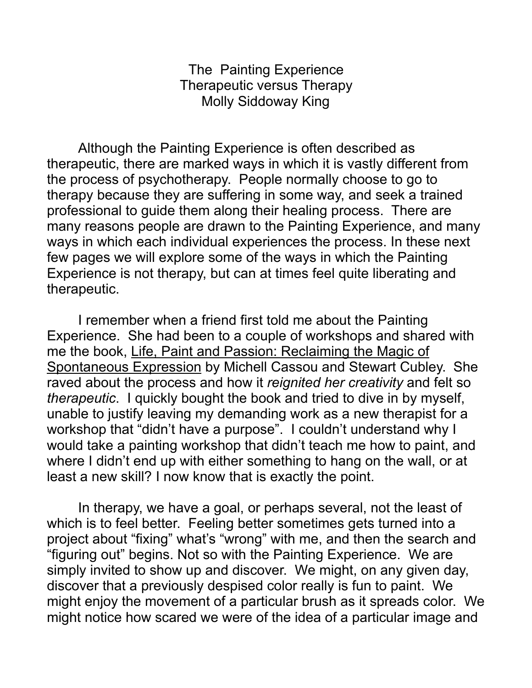The Painting Experience Therapeutic versus Therapy Molly Siddoway King

 Although the Painting Experience is often described as therapeutic, there are marked ways in which it is vastly different from the process of psychotherapy. People normally choose to go to therapy because they are suffering in some way, and seek a trained professional to guide them along their healing process. There are many reasons people are drawn to the Painting Experience, and many ways in which each individual experiences the process. In these next few pages we will explore some of the ways in which the Painting Experience is not therapy, but can at times feel quite liberating and therapeutic.

 I remember when a friend first told me about the Painting Experience. She had been to a couple of workshops and shared with me the book, Life, Paint and Passion: Reclaiming the Magic of Spontaneous Expression by Michell Cassou and Stewart Cubley. She raved about the process and how it *reignited her creativity* and felt so *therapeutic*. I quickly bought the book and tried to dive in by myself, unable to justify leaving my demanding work as a new therapist for a workshop that "didn't have a purpose". I couldn't understand why I would take a painting workshop that didn't teach me how to paint, and where I didn't end up with either something to hang on the wall, or at least a new skill? I now know that is exactly the point.

 In therapy, we have a goal, or perhaps several, not the least of which is to feel better. Feeling better sometimes gets turned into a project about "fixing" what's "wrong" with me, and then the search and "figuring out" begins. Not so with the Painting Experience. We are simply invited to show up and discover. We might, on any given day, discover that a previously despised color really is fun to paint. We might enjoy the movement of a particular brush as it spreads color. We might notice how scared we were of the idea of a particular image and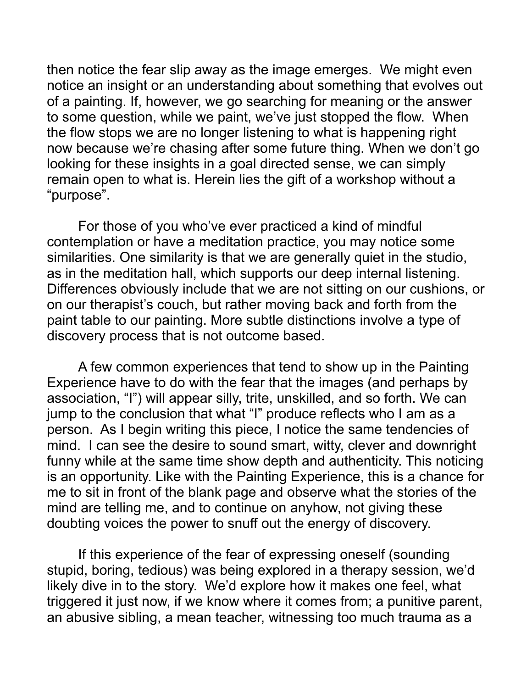then notice the fear slip away as the image emerges. We might even notice an insight or an understanding about something that evolves out of a painting. If, however, we go searching for meaning or the answer to some question, while we paint, we've just stopped the flow. When the flow stops we are no longer listening to what is happening right now because we're chasing after some future thing. When we don't go looking for these insights in a goal directed sense, we can simply remain open to what is. Herein lies the gift of a workshop without a "purpose".

 For those of you who've ever practiced a kind of mindful contemplation or have a meditation practice, you may notice some similarities. One similarity is that we are generally quiet in the studio, as in the meditation hall, which supports our deep internal listening. Differences obviously include that we are not sitting on our cushions, or on our therapist's couch, but rather moving back and forth from the paint table to our painting. More subtle distinctions involve a type of discovery process that is not outcome based.

A few common experiences that tend to show up in the Painting Experience have to do with the fear that the images (and perhaps by association, "I") will appear silly, trite, unskilled, and so forth. We can jump to the conclusion that what "I" produce reflects who I am as a person. As I begin writing this piece, I notice the same tendencies of mind. I can see the desire to sound smart, witty, clever and downright funny while at the same time show depth and authenticity. This noticing is an opportunity. Like with the Painting Experience, this is a chance for me to sit in front of the blank page and observe what the stories of the mind are telling me, and to continue on anyhow, not giving these doubting voices the power to snuff out the energy of discovery.

 If this experience of the fear of expressing oneself (sounding stupid, boring, tedious) was being explored in a therapy session, we'd likely dive in to the story. We'd explore how it makes one feel, what triggered it just now, if we know where it comes from; a punitive parent, an abusive sibling, a mean teacher, witnessing too much trauma as a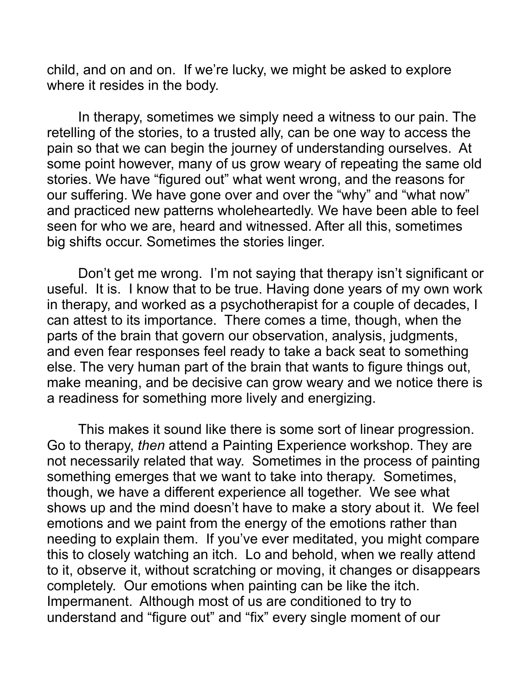child, and on and on. If we're lucky, we might be asked to explore where it resides in the body.

In therapy, sometimes we simply need a witness to our pain. The retelling of the stories, to a trusted ally, can be one way to access the pain so that we can begin the journey of understanding ourselves. At some point however, many of us grow weary of repeating the same old stories. We have "figured out" what went wrong, and the reasons for our suffering. We have gone over and over the "why" and "what now" and practiced new patterns wholeheartedly. We have been able to feel seen for who we are, heard and witnessed. After all this, sometimes big shifts occur. Sometimes the stories linger.

Don't get me wrong. I'm not saying that therapy isn't significant or useful. It is. I know that to be true. Having done years of my own work in therapy, and worked as a psychotherapist for a couple of decades, I can attest to its importance. There comes a time, though, when the parts of the brain that govern our observation, analysis, judgments, and even fear responses feel ready to take a back seat to something else. The very human part of the brain that wants to figure things out, make meaning, and be decisive can grow weary and we notice there is a readiness for something more lively and energizing.

This makes it sound like there is some sort of linear progression. Go to therapy, *then* attend a Painting Experience workshop. They are not necessarily related that way. Sometimes in the process of painting something emerges that we want to take into therapy. Sometimes, though, we have a different experience all together. We see what shows up and the mind doesn't have to make a story about it. We feel emotions and we paint from the energy of the emotions rather than needing to explain them. If you've ever meditated, you might compare this to closely watching an itch. Lo and behold, when we really attend to it, observe it, without scratching or moving, it changes or disappears completely. Our emotions when painting can be like the itch. Impermanent. Although most of us are conditioned to try to understand and "figure out" and "fix" every single moment of our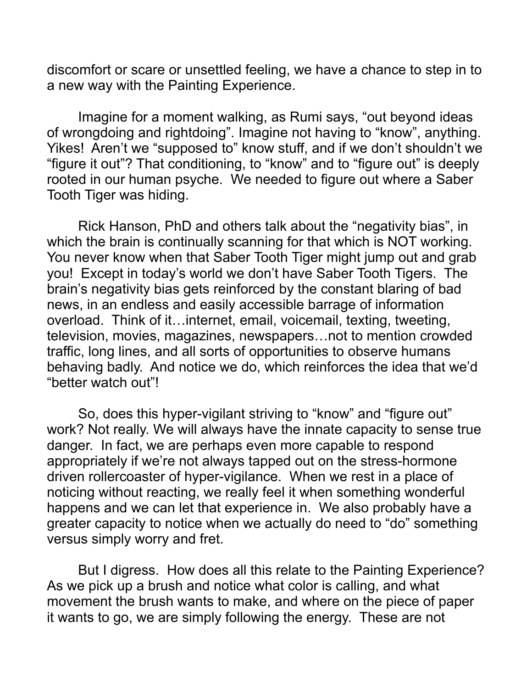discomfort or scare or unsettled feeling, we have a chance to step in to a new way with the Painting Experience.

 Imagine for a moment walking, as Rumi says, "out beyond ideas of wrongdoing and rightdoing". Imagine not having to "know", anything. Yikes! Aren't we "supposed to" know stuff, and if we don't shouldn't we "figure it out"? That conditioning, to "know" and to "figure out" is deeply rooted in our human psyche. We needed to figure out where a Saber Tooth Tiger was hiding.

Rick Hanson, PhD and others talk about the "negativity bias", in which the brain is continually scanning for that which is NOT working. You never know when that Saber Tooth Tiger might jump out and grab you! Except in today's world we don't have Saber Tooth Tigers. The brain's negativity bias gets reinforced by the constant blaring of bad news, in an endless and easily accessible barrage of information overload. Think of it…internet, email, voicemail, texting, tweeting, television, movies, magazines, newspapers…not to mention crowded traffic, long lines, and all sorts of opportunities to observe humans behaving badly. And notice we do, which reinforces the idea that we'd "better watch out"!

So, does this hyper-vigilant striving to "know" and "figure out" work? Not really. We will always have the innate capacity to sense true danger. In fact, we are perhaps even more capable to respond appropriately if we're not always tapped out on the stress-hormone driven rollercoaster of hyper-vigilance. When we rest in a place of noticing without reacting, we really feel it when something wonderful happens and we can let that experience in. We also probably have a greater capacity to notice when we actually do need to "do" something versus simply worry and fret.

But I digress. How does all this relate to the Painting Experience? As we pick up a brush and notice what color is calling, and what movement the brush wants to make, and where on the piece of paper it wants to go, we are simply following the energy. These are not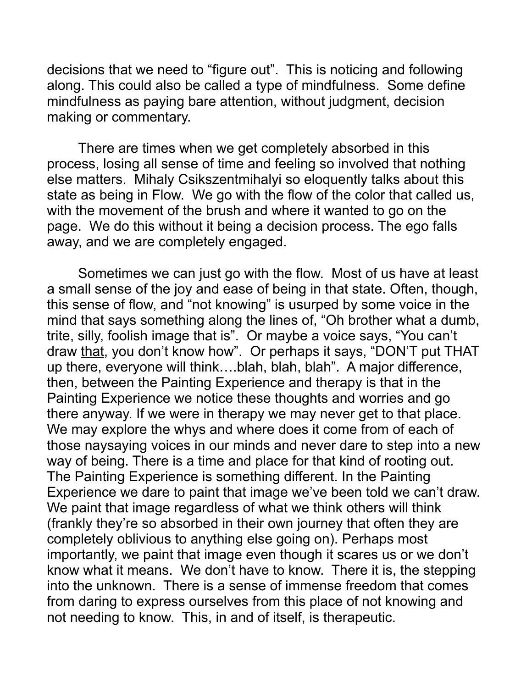decisions that we need to "figure out". This is noticing and following along. This could also be called a type of mindfulness. Some define mindfulness as paying bare attention, without judgment, decision making or commentary.

There are times when we get completely absorbed in this process, losing all sense of time and feeling so involved that nothing else matters. Mihaly Csikszentmihalyi so eloquently talks about this state as being in Flow. We go with the flow of the color that called us, with the movement of the brush and where it wanted to go on the page. We do this without it being a decision process. The ego falls away, and we are completely engaged.

Sometimes we can just go with the flow. Most of us have at least a small sense of the joy and ease of being in that state. Often, though, this sense of flow, and "not knowing" is usurped by some voice in the mind that says something along the lines of, "Oh brother what a dumb, trite, silly, foolish image that is". Or maybe a voice says, "You can't draw that, you don't know how". Or perhaps it says, "DON'T put THAT up there, everyone will think….blah, blah, blah". A major difference, then, between the Painting Experience and therapy is that in the Painting Experience we notice these thoughts and worries and go there anyway. If we were in therapy we may never get to that place. We may explore the whys and where does it come from of each of those naysaying voices in our minds and never dare to step into a new way of being. There is a time and place for that kind of rooting out. The Painting Experience is something different. In the Painting Experience we dare to paint that image we've been told we can't draw. We paint that image regardless of what we think others will think (frankly they're so absorbed in their own journey that often they are completely oblivious to anything else going on). Perhaps most importantly, we paint that image even though it scares us or we don't know what it means. We don't have to know. There it is, the stepping into the unknown. There is a sense of immense freedom that comes from daring to express ourselves from this place of not knowing and not needing to know. This, in and of itself, is therapeutic.